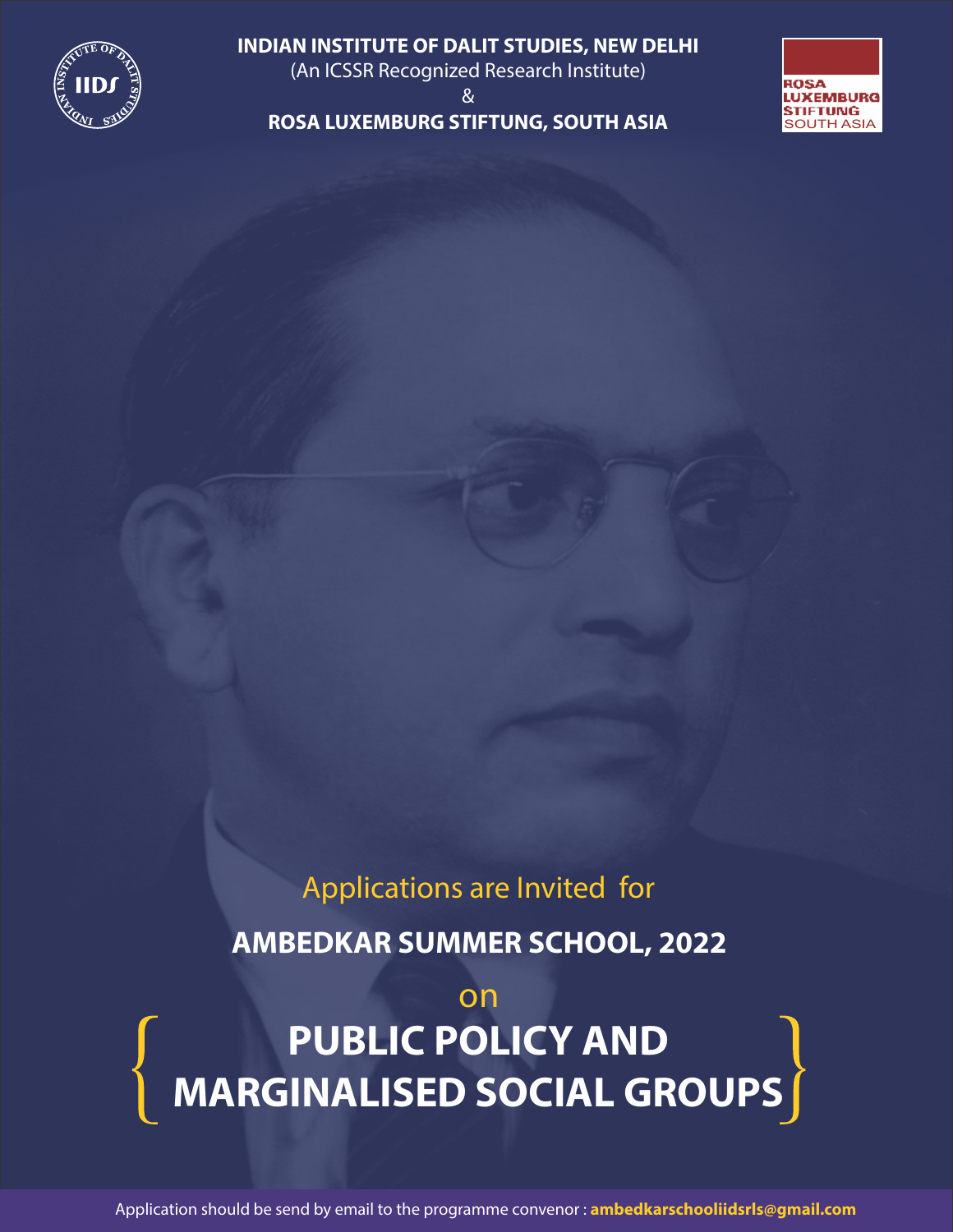

**INDIAN INSTITUTE OF DALIT STUDIES, NEW DELHI**  (An ICSSR Recognized Research Institute)

& **ROSA LUXEMBURG STIFTUNG, SOUTH ASIA**



# Applications are Invited for

**AMBEDKAR SUMMER SCHOOL, 2022**

# on **PUBLIC POLICY AND MARGINALISED SOCIAL GROUPS**

Application should be send by email to the programme convenor : **ambedkarschooliidsrls@gmail.com**